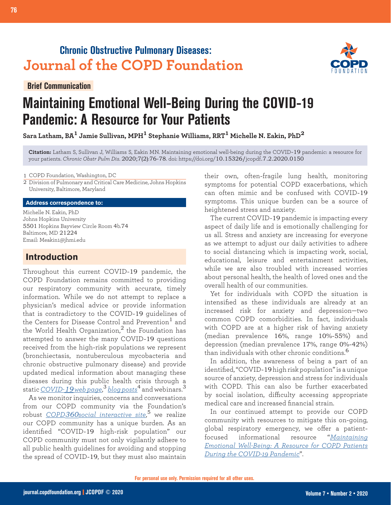## **Chronic Obstructive Pulmonary Diseases: Journal of the COPD Foundation**

**Brief Communication**



# **Maintaining Emotional Well-Being During the COVID-19 Pandemic: A Resource for Your Patients**

**Sara Latham, BA1 Jamie Sullivan, MPH1 Stephanie Williams, RRT1 Michelle N. Eakin, PhD<sup>2</sup>**

**Citation:** Latham S, Sullivan J, Williams S, Eakin MN. Maintaining emotional well-being during the COVID-19 pandemic: a resource for your patients. *Chronic Obstr Pulm Dis*. 2020;7(2):76-78. doi: https://doi.org/10.15326/jcopdf.7.2.2020.0150

1 COPD Foundation, Washington, DC

Division of Pulmonary and Critical Care Medicine, Johns Hopkins 2 University, Baltimore, Maryland

#### **Address correspondence to:**

Michelle N. Eakin, PhD Johns Hopkins University 5501 Hopkins Bayview Circle Room 4b.74 Baltimore, MD 21224 Email: Meakin1@jhmi.edu

## **Introduction**

Throughout this current COVID-19 pandemic, the COPD Foundation remains committed to providing our respiratory community with accurate, timely information. While we do not attempt to replace a physician's medical advice or provide information that is contradictory to the COVID-19 guidelines of the Centers for Disease Control and Prevention<sup>1</sup> and the World Health Organization, $<sup>2</sup>$  the Foundation has</sup> attempted to answer the many COVID-19 questions received from the high-risk populations we represent (bronchiectasis, nontuberculous mycobacteria and chronic obstructive pulmonary disease) and provide updated medical information about managing these diseases during this public health crisis through a static *COVID-19 [web page](https://www.copdfoundation.org/Learn-More/I-am-a-Person-with-COPD/Coronavirus-Information.aspx)*, <sup>3</sup> *[blog posts](https://www.copdfoundation.org/COPD360social/Community/COPD-Digest/Article/1553/A-Coronavirus-Update-for-the-COPD-Community.aspx)*4 and webinars.<sup>3</sup>

As we monitor inquiries, concerns and conversations from our COPD community via the Foundation's robust *COPD360[social interactive site](https://www.copdfoundation.org/COPD360social/Community/Activity-Feed.aspx)*, <sup>5</sup> we realize our COPD community has a unique burden. As an identified "COVID-19 high-risk population" our COPD community must not only vigilantly adhere to all public health guidelines for avoiding and stopping the spread of COVID-19, but they must also maintain

their own, often-fragile lung health, monitoring symptoms for potential COPD exacerbations, which can often mimic and be confused with COVID-19 symptoms. This unique burden can be a source of heightened stress and anxiety.

The current COVID-19 pandemic is impacting every aspect of daily life and is emotionally challenging for us all. Stress and anxiety are increasing for everyone as we attempt to adjust our daily activities to adhere to social distancing which is impacting work, social, educational, leisure and entertainment activities, while we are also troubled with increased worries about personal health, the health of loved ones and the overall health of our communities.

Yet for individuals with COPD the situation is intensified as these individuals are already at an increased risk for anxiety and depression—two common COPD comorbidities. In fact, individuals with COPD are at a higher risk of having anxiety (median prevalence 16%, range 10%-55%) and depression (median prevalence 17%, range 0%-42%) than individuals with other chronic conditions.<sup>6</sup>

In addition, the awareness of being a part of an identified, "COVID-19 high risk population" is a unique source of anxiety, depression and stress for individuals with COPD. This can also be further exacerbated by social isolation, difficulty accessing appropriate medical care and increased financial strain.

In our continued attempt to provide our COPD community with resources to mitigate this on-going, global respiratory emergency, we offer a patientfocused informational resource "*[Maintaining](https://www.copdfoundation.org/downloads/MainEmtn-Health-FINAL.pdf) [Emotional Well-Being: A Resource for COPD Patients](https://www.copdfoundation.org/downloads/MainEmtn-Health-FINAL.pdf)  [During the COVID-19 Pandemic](https://www.copdfoundation.org/downloads/MainEmtn-Health-FINAL.pdf)*".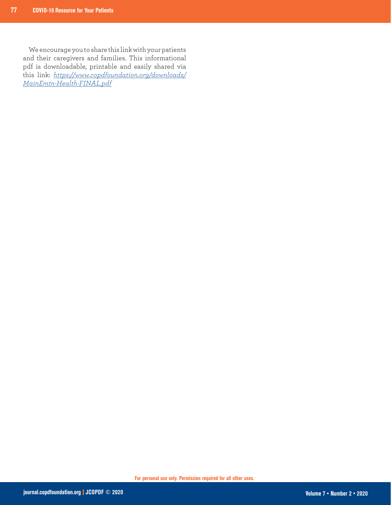We encourage you to share this link with your patients and their caregivers and families. This informational pdf is downloadable, printable and easily shared via this link: *[https://www.copdfoundation.org/downloads/](https://www.copdfoundation.org/downloads/MainEmtn-Health-FINAL.pdf) [MainEmtn-Health-FINAL.pdf](https://www.copdfoundation.org/downloads/MainEmtn-Health-FINAL.pdf)*